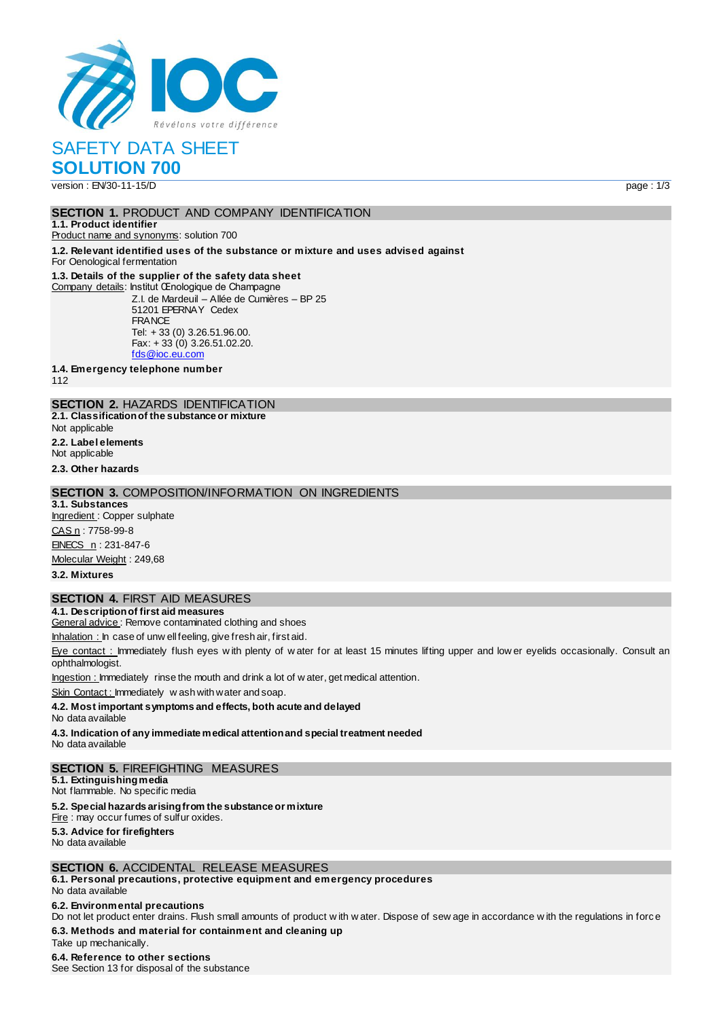

SAFETY DATA SHEET

**SOLUTION 700** version : EN/30-11-15/D page : 1/3

#### **SECTION 1. PRODUCT AND COMPANY IDENTIFICATION**

**1.1. Product identifier** Product name and synonyms: solution 700

**1.2. Relevant identified uses of the substance or mixture and uses advised against**

For Oenological fermentation

### **1.3. Details of the supplier of the safety data sheet**

Company details: Institut Œnologique de Champagne Z.I. de Mardeuil – Allée de Cumières – BP 25 51201 EPERNAY Cedex **FRANCE** Tel: + 33 (0) 3.26.51.96.00.  $Fax: + 33(0)$  3.26.51.02.20. [fds@ioc.eu.com](mailto:fds@ioc.eu.com)

**1.4. Emergency telephone number**

112

# **SECTION 2.** HAZARDS IDENTIFICATION

**2.1. Classification of the substance or mixture**

Not applicable

**2.2. Label elements**

Not applicable

# **2.3. Other hazards**

### **SECTION 3.** COMPOSITION/INFORMATION ON INGREDIENTS

**3.1. Substances** Ingredient : Copper sulphate CAS n : 7758-99-8 EINECS n: 231-847-6 Molecular Weight: 249,68

**3.2. Mixtures**

### **SECTION 4.** FIRST AID MEASURES

**4.1. Description of first aid measures** General advice: Remove contaminated clothing and shoes

Inhalation : In case of unw ell feeling, give fresh air, first aid.

Eye contact : Immediately flush eyes with plenty of water for at least 15 minutes lifting upper and low er eyelids occasionally. Consult an ophthalmologist.

Ingestion : Immediately rinse the mouth and drink a lot of w ater, get medical attention.

Skin Contact: Immediately w ash with water and soap.

#### **4.2. Most important symptoms and effects, both acute and delayed**

No data available

**4.3. Indication of any immediate medical attention and special treatment needed** No data available

### **SECTION 5.** FIREFIGHTING MEASURES

**5.1. Extinguishing media** Not flammable. No specific media

#### **5.2. Special hazards arising from the substance or mixture**

Fire : may occur fumes of sulfur oxides. **5.3. Advice for firefighters**

No data available

### **SECTION 6.** ACCIDENTAL RELEASE MEASURES

**6.1. Personal precautions, protective equipment and emergency procedures**

### No data available

#### **6.2. Environmental precautions**

Do not let product enter drains. Flush small amounts of product w ith w ater. Dispose of sew age in accordance w ith the regulations in forc e **6.3. Methods and material for containment and cleaning up**

# Take up mechanically.

**6.4. Reference to other sections** See Section 13 for disposal of the substance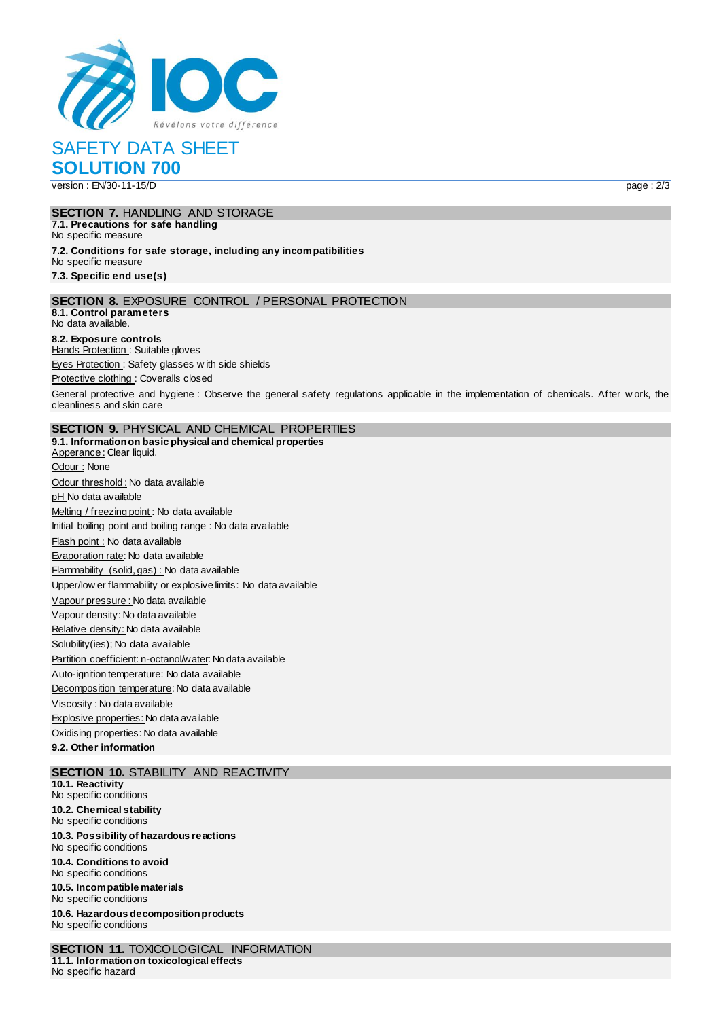

SAFETY DATA SHEET

**SOLUTION 700** version : EN/30-11-15/D page : 2/3

#### **SECTION 7.** HANDLING AND STORAGE **7.1. Precautions for safe handling** No specific measure **7.2. Conditions for safe storage, including any incompatibilities** No specific measure

**7.3. Specific end use(s)**

### **SECTION 8.** EXPOSURE CONTROL / PERSONAL PROTECTION

**8.1. Control parameters** No data available.

#### **8.2. Exposure controls** Hands Protection : Suitable gloves

Eyes Protection : Safety glasses w ith side shields

Protective clothing : Coveralls closed

General protective and hygiene : Observe the general safety regulations applicable in the implementation of chemicals. After w ork, the cleanliness and skin care

# **SECTION 9.** PHYSICAL AND CHEMICAL PROPERTIES

**9.1. Information on basic physical and chemical properties** Apperance : Clear liquid. Odour : None Odour threshold : No data available pH No data available Melting / freezing point : No data available Initial boiling point and boiling range : No data available Flash point : No data available Evaporation rate: No data available Flammability (solid, gas) : No data available Upper/low er flammability or explosive limits: No data available Vapour pressure : No data available Vapour density: No data available Relative density: No data available Solubility(ies); No data available Partition coefficient: n-octanol/water: No data available Auto-ignition temperature: No data available Decomposition temperature: No data available Viscosity : No data available Explosive properties: No data available Oxidising properties: No data available

**9.2. Other information**

### **SECTION 10.** STABILITY AND REACTIVITY

**10.1. Reactivity** No specific conditions **10.2. Chemical stability** No specific conditions **10.3. Possibility of hazardous reactions** No specific conditions **10.4. Conditions to avoid** No specific conditions **10.5. Incompatible materials** No specific conditions **10.6. Hazardous decomposition products** No specific conditions